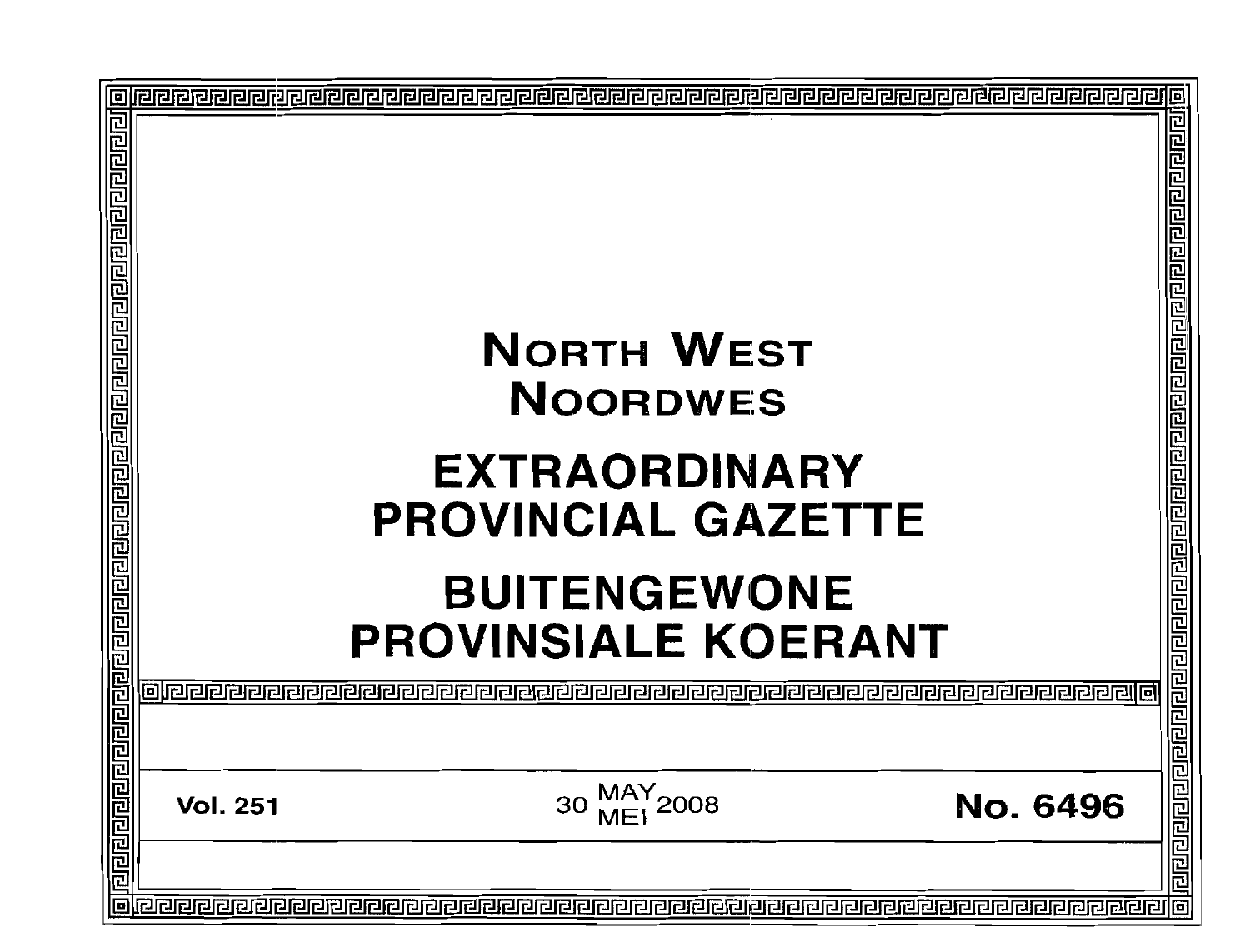| 厄<br><u> बायवागवान बायवान बागवान बागवान बागवान</u> |                                                   | 름                     |
|----------------------------------------------------|---------------------------------------------------|-----------------------|
|                                                    | <b>NORTH WEST</b>                                 |                       |
|                                                    | <b>NOORDWES</b>                                   |                       |
|                                                    |                                                   |                       |
|                                                    | <b>EXTRAORDINARY</b>                              |                       |
|                                                    |                                                   |                       |
|                                                    | <b>PROVINCIAL GAZETTE</b>                         |                       |
|                                                    | <b>BUITENGEWONE</b><br><b>PROVINSIALE KOERANT</b> |                       |
|                                                    |                                                   |                       |
| <b>PIPIPIE</b><br>叵<br>厄                           |                                                   | <u> बागवागवागगवाग</u> |
|                                                    | Vol. 251 30 MAY 2008 No. 6496                     |                       |
| 回回回                                                |                                                   |                       |
|                                                    |                                                   |                       |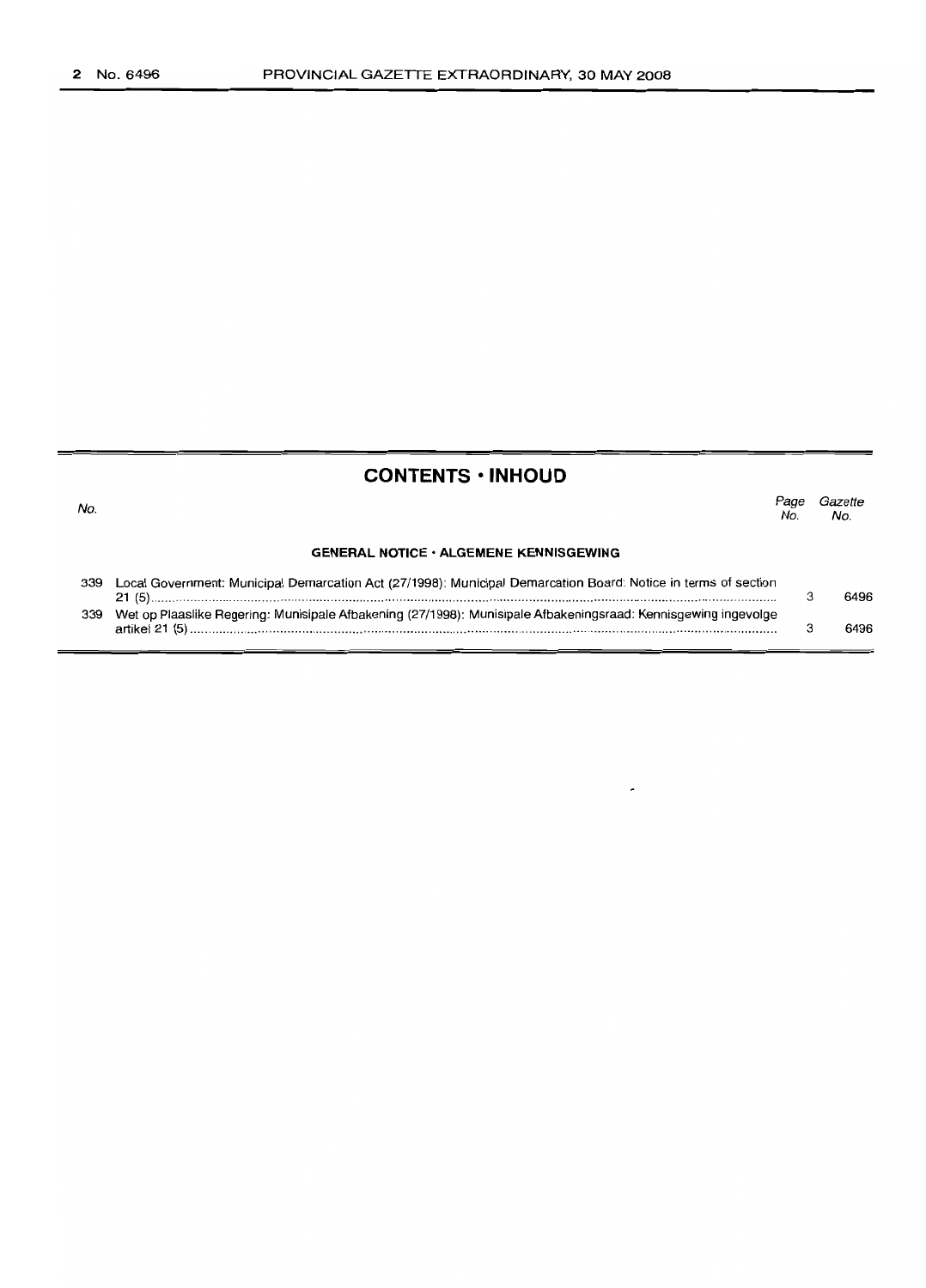## **CONTENTS • INHOU D**

| No. |                                                                                                                | Page<br>No. | Gazette<br>No. |
|-----|----------------------------------------------------------------------------------------------------------------|-------------|----------------|
|     | <b>GENERAL NOTICE · ALGEMENE KENNISGEWING</b>                                                                  |             |                |
| 339 | Local Government: Municipal Demarcation Act (27/1998): Municipal Demarcation Board: Notice in terms of section |             | 6496           |
| 339 | Wet op Plaaslike Regering: Munisipale Afbakening (27/1998): Munisipale Afbakeningsraad: Kennisgewing ingevolge |             | 6496           |